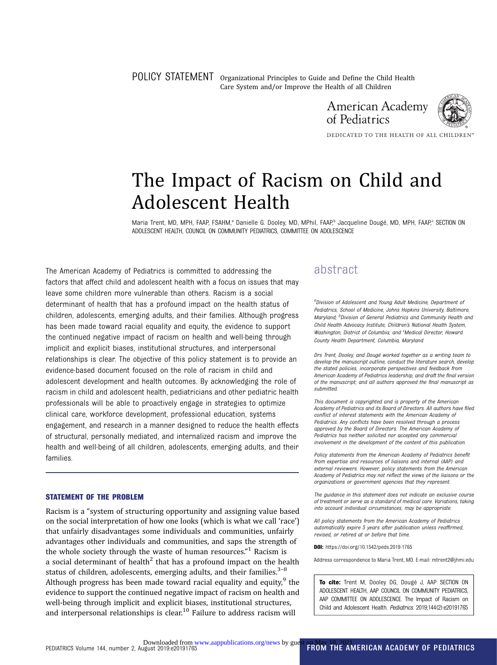POLICY STATEMENT Organizational Principles to Guide and Define the Child Health Care System and/or Improve the Health of all Children





DEDICATED TO THE HEALTH OF ALL CHILDREN'

# The Impact of Racism on Child and Adolescent Health

Maria Trent, MD, MPH, FAAP, FSAHM,<sup>a</sup> Danielle G. Dooley, MD, MPhil, FAAP,<sup>b</sup> Jacqueline Dougé, MD, MPH, FAAP,<sup>c</sup> SECTION ON ADOLESCENT HEALTH, COUNCIL ON COMMUNITY PEDIATRICS, COMMITTEE ON ADOLESCENCE

The American Academy of Pediatrics is committed to addressing the  $a$ bstract factors that affect child and adolescent health with a focus on issues that may leave some children more vulnerable than others. Racism is a social determinant of health that has a profound impact on the health status of children, adolescents, emerging adults, and their families. Although progress has been made toward racial equality and equity, the evidence to support the continued negative impact of racism on health and well-being through implicit and explicit biases, institutional structures, and interpersonal relationships is clear. The objective of this policy statement is to provide an evidence-based document focused on the role of racism in child and adolescent development and health outcomes. By acknowledging the role of racism in child and adolescent health, pediatricians and other pediatric health professionals will be able to proactively engage in strategies to optimize clinical care, workforce development, professional education, systems engagement, and research in a manner designed to reduce the health effects of structural, personally mediated, and internalized racism and improve the health and well-being of all children, adolescents, emerging adults, and their families.

#### STATEMENT OF THE PROBLEM

Racism is a "system of structuring opportunity and assigning value based on the social interpretation of how one looks (which is what we call 'race') that unfairly disadvantages some individuals and communities, unfairly advantages other individuals and communities, and saps the strength of the whole society through the waste of human resources."<sup>1</sup> Racism is a social determinant of health<sup>2</sup> that has a profound impact on the health status of children, adolescents, emerging adults, and their families. $3-8$ Although progress has been made toward racial equality and equity, $9$  the evidence to support the continued negative impact of racism on health and well-being through implicit and explicit biases, institutional structures, and interpersonal relationships is clear.<sup>10</sup> Failure to address racism will

<sup>a</sup>Division of Adolescent and Young Adult Medicine, Department of Pediatrics, School of Medicine, Johns Hopkins University, Baltimore, Maryland; <sup>b</sup>Division of General Pediatrics and Community Health and Child Health Advocacy Institute, Children's National Health System, Washington, District of Columbia; and <sup>c</sup>Medical Director, Howard County Health Department, Columbia, Maryland

Drs Trent, Dooley, and Dougé worked together as a writing team to develop the manuscript outline, conduct the literature search, develop the stated policies, incorporate perspectives and feedback from American Academy of Pediatrics leadership, and draft the final version of the manuscript; and all authors approved the final manuscript as submitted.

This document is copyrighted and is property of the American Academy of Pediatrics and its Board of Directors. All authors have filed conflict of interest statements with the American Academy of Pediatrics. Any conflicts have been resolved through a process approved by the Board of Directors. The American Academy of Pediatrics has neither solicited nor accepted any commercial involvement in the development of the content of this publication.

Policy statements from the American Academy of Pediatrics benefit from expertise and resources of liaisons and internal (AAP) and external reviewers. However, policy statements from the American Academy of Pediatrics may not reflect the views of the liaisons or the organizations or government agencies that they represent.

The guidance in this statement does not indicate an exclusive course of treatment or serve as a standard of medical care. Variations, taking into account individual circumstances, may be appropriate.

All policy statements from the American Academy of Pediatrics automatically expire 5 years after publication unless reaffirmed, revised, or retired at or before that time.

DOI: <https://doi.org/10.1542/peds.2019-1765>

Address correspondence to Maria Trent, MD. E-mail: mtrent2@jhmi.edu

To cite: Trent M, Dooley DG, Dougé J, AAP SECTION ON ADOLESCENT HEALTH, AAP COUNCIL ON COMMUNITY PEDIATRICS, AAP COMMITTEE ON ADOLESCENCE. The Impact of Racism on Child and Adolescent Health. Pediatrics. 2019;144(2):e20191765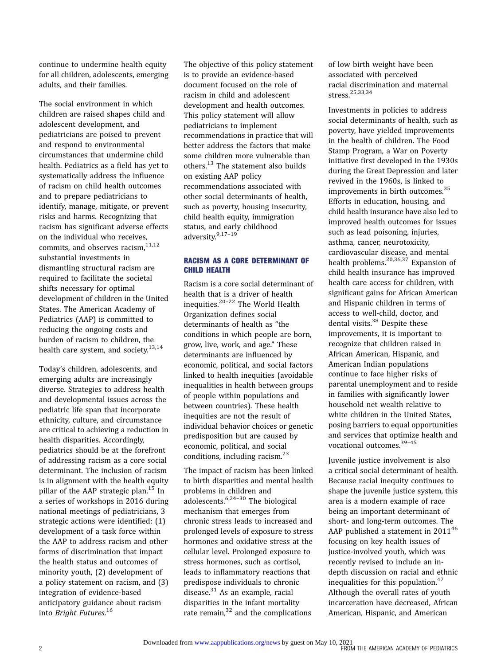continue to undermine health equity for all children, adolescents, emerging adults, and their families.

The social environment in which children are raised shapes child and adolescent development, and pediatricians are poised to prevent and respond to environmental circumstances that undermine child health. Pediatrics as a field has yet to systematically address the influence of racism on child health outcomes and to prepare pediatricians to identify, manage, mitigate, or prevent risks and harms. Recognizing that racism has significant adverse effects on the individual who receives, commits, and observes racism,  $11,12$ substantial investments in dismantling structural racism are required to facilitate the societal shifts necessary for optimal development of children in the United States. The American Academy of Pediatrics (AAP) is committed to reducing the ongoing costs and burden of racism to children, the health care system, and society.<sup>13,14</sup>

Today's children, adolescents, and emerging adults are increasingly diverse. Strategies to address health and developmental issues across the pediatric life span that incorporate ethnicity, culture, and circumstance are critical to achieving a reduction in health disparities. Accordingly, pediatrics should be at the forefront of addressing racism as a core social determinant. The inclusion of racism is in alignment with the health equity pillar of the AAP strategic plan.<sup>15</sup> In a series of workshops in 2016 during national meetings of pediatricians, 3 strategic actions were identified: (1) development of a task force within the AAP to address racism and other forms of discrimination that impact the health status and outcomes of minority youth, (2) development of a policy statement on racism, and (3) integration of evidence-based anticipatory guidance about racism into Bright Futures. 16

The objective of this policy statement is to provide an evidence-based document focused on the role of racism in child and adolescent development and health outcomes. This policy statement will allow pediatricians to implement recommendations in practice that will better address the factors that make some children more vulnerable than others.<sup>13</sup> The statement also builds on existing AAP policy recommendations associated with other social determinants of health, such as poverty, housing insecurity, child health equity, immigration status, and early childhood adversity.<sup>9,17-19</sup>

#### RACISM AS A CORE DETERMINANT OF CHILD HEALTH

Racism is a core social determinant of health that is a driver of health inequities.20–<sup>22</sup> The World Health Organization defines social determinants of health as "the conditions in which people are born, grow, live, work, and age." These determinants are influenced by economic, political, and social factors linked to health inequities (avoidable inequalities in health between groups of people within populations and between countries). These health inequities are not the result of individual behavior choices or genetic predisposition but are caused by economic, political, and social conditions, including racism.23

The impact of racism has been linked to birth disparities and mental health problems in children and  $\alpha$  adolescents.<sup>6,24–30</sup> The biological mechanism that emerges from chronic stress leads to increased and prolonged levels of exposure to stress hormones and oxidative stress at the cellular level. Prolonged exposure to stress hormones, such as cortisol, leads to inflammatory reactions that predispose individuals to chronic disease. $31$  As an example, racial disparities in the infant mortality rate remain, $32$  and the complications

of low birth weight have been associated with perceived racial discrimination and maternal stress.25,33,34

Investments in policies to address social determinants of health, such as poverty, have yielded improvements in the health of children. The Food Stamp Program, a War on Poverty initiative first developed in the 1930s during the Great Depression and later revived in the 1960s, is linked to improvements in birth outcomes.<sup>35</sup> Efforts in education, housing, and child health insurance have also led to improved health outcomes for issues such as lead poisoning, injuries, asthma, cancer, neurotoxicity, cardiovascular disease, and mental health problems.<sup>20,36,37</sup> Expansion of child health insurance has improved health care access for children, with significant gains for African American and Hispanic children in terms of access to well-child, doctor, and dental visits.<sup>38</sup> Despite these improvements, it is important to recognize that children raised in African American, Hispanic, and American Indian populations continue to face higher risks of parental unemployment and to reside in families with significantly lower household net wealth relative to white children in the United States, posing barriers to equal opportunities and services that optimize health and vocational outcomes.39–<sup>45</sup>

Juvenile justice involvement is also a critical social determinant of health. Because racial inequity continues to shape the juvenile justice system, this area is a modern example of race being an important determinant of short- and long-term outcomes. The AAP published a statement in 2011<sup>46</sup> focusing on key health issues of justice-involved youth, which was recently revised to include an indepth discussion on racial and ethnic inequalities for this population. $47$ Although the overall rates of youth incarceration have decreased, African American, Hispanic, and American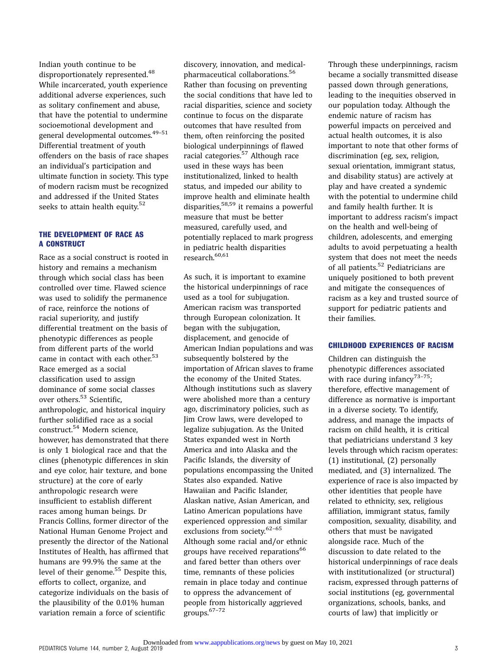Indian youth continue to be disproportionately represented.<sup>48</sup> While incarcerated, youth experience additional adverse experiences, such as solitary confinement and abuse, that have the potential to undermine socioemotional development and general developmental outcomes.49–<sup>51</sup> Differential treatment of youth offenders on the basis of race shapes an individual's participation and ultimate function in society. This type of modern racism must be recognized and addressed if the United States seeks to attain health equity. $52$ 

### THE DEVELOPMENT OF RACE AS A CONSTRUCT

Race as a social construct is rooted in history and remains a mechanism through which social class has been controlled over time. Flawed science was used to solidify the permanence of race, reinforce the notions of racial superiority, and justify differential treatment on the basis of phenotypic differences as people from different parts of the world came in contact with each other.<sup>53</sup> Race emerged as a social classification used to assign dominance of some social classes over others.<sup>53</sup> Scientific, anthropologic, and historical inquiry further solidified race as a social construct.<sup>54</sup> Modern science, however, has demonstrated that there is only 1 biological race and that the clines (phenotypic differences in skin and eye color, hair texture, and bone structure) at the core of early anthropologic research were insufficient to establish different races among human beings. Dr Francis Collins, former director of the National Human Genome Project and presently the director of the National Institutes of Health, has affirmed that humans are 99.9% the same at the level of their genome.<sup>55</sup> Despite this, efforts to collect, organize, and categorize individuals on the basis of the plausibility of the 0.01% human variation remain a force of scientific

discovery, innovation, and medicalpharmaceutical collaborations.<sup>56</sup> Rather than focusing on preventing the social conditions that have led to racial disparities, science and society continue to focus on the disparate outcomes that have resulted from them, often reinforcing the posited biological underpinnings of flawed racial categories.<sup>57</sup> Although race used in these ways has been institutionalized, linked to health status, and impeded our ability to improve health and eliminate health disparities,  $58,59$  it remains a powerful measure that must be better measured, carefully used, and potentially replaced to mark progress in pediatric health disparities  $research.<sup>60,61</sup>$ 

As such, it is important to examine the historical underpinnings of race used as a tool for subjugation. American racism was transported through European colonization. It began with the subjugation, displacement, and genocide of American Indian populations and was subsequently bolstered by the importation of African slaves to frame the economy of the United States. Although institutions such as slavery were abolished more than a century ago, discriminatory policies, such as Jim Crow laws, were developed to legalize subjugation. As the United States expanded west in North America and into Alaska and the Pacific Islands, the diversity of populations encompassing the United States also expanded. Native Hawaiian and Pacific Islander, Alaskan native, Asian American, and Latino American populations have experienced oppression and similar exclusions from society.<sup>62-65</sup> Although some racial and/or ethnic groups have received reparations<sup>66</sup> and fared better than others over time, remnants of these policies remain in place today and continue to oppress the advancement of people from historically aggrieved groups.67–<sup>72</sup>

Through these underpinnings, racism became a socially transmitted disease passed down through generations, leading to the inequities observed in our population today. Although the endemic nature of racism has powerful impacts on perceived and actual health outcomes, it is also important to note that other forms of discrimination (eg, sex, religion, sexual orientation, immigrant status, and disability status) are actively at play and have created a syndemic with the potential to undermine child and family health further. It is important to address racism's impact on the health and well-being of children, adolescents, and emerging adults to avoid perpetuating a health system that does not meet the needs of all patients.<sup>52</sup> Pediatricians are uniquely positioned to both prevent and mitigate the consequences of racism as a key and trusted source of support for pediatric patients and their families.

#### CHILDHOOD EXPERIENCES OF RACISM

Children can distinguish the phenotypic differences associated with race during infancy<sup>73-75</sup>; therefore, effective management of difference as normative is important in a diverse society. To identify, address, and manage the impacts of racism on child health, it is critical that pediatricians understand 3 key levels through which racism operates: (1) institutional, (2) personally mediated, and (3) internalized. The experience of race is also impacted by other identities that people have related to ethnicity, sex, religious affiliation, immigrant status, family composition, sexuality, disability, and others that must be navigated alongside race. Much of the discussion to date related to the historical underpinnings of race deals with institutionalized (or structural) racism, expressed through patterns of social institutions (eg, governmental organizations, schools, banks, and courts of law) that implicitly or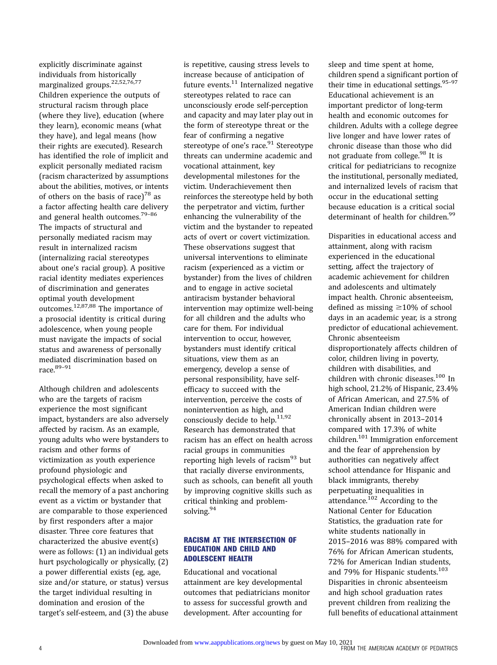explicitly discriminate against individuals from historically marginalized groups.<sup>22,52,76,77</sup> Children experience the outputs of structural racism through place (where they live), education (where they learn), economic means (what they have), and legal means (how their rights are executed). Research has identified the role of implicit and explicit personally mediated racism (racism characterized by assumptions about the abilities, motives, or intents of others on the basis of race) $^{78}$  as a factor affecting health care delivery and general health outcomes.79–<sup>86</sup> The impacts of structural and personally mediated racism may result in internalized racism (internalizing racial stereotypes about one's racial group). A positive racial identity mediates experiences of discrimination and generates optimal youth development outcomes.12,87,88 The importance of a prosocial identity is critical during adolescence, when young people must navigate the impacts of social status and awareness of personally mediated discrimination based on race.89–<sup>91</sup>

Although children and adolescents who are the targets of racism experience the most significant impact, bystanders are also adversely affected by racism. As an example, young adults who were bystanders to racism and other forms of victimization as youth experience profound physiologic and psychological effects when asked to recall the memory of a past anchoring event as a victim or bystander that are comparable to those experienced by first responders after a major disaster. Three core features that characterized the abusive event(s) were as follows: (1) an individual gets hurt psychologically or physically, (2) a power differential exists (eg, age, size and/or stature, or status) versus the target individual resulting in domination and erosion of the target's self-esteem, and (3) the abuse

is repetitive, causing stress levels to increase because of anticipation of future events.<sup>11</sup> Internalized negative stereotypes related to race can unconsciously erode self-perception and capacity and may later play out in the form of stereotype threat or the fear of confirming a negative stereotype of one's race.<sup>91</sup> Stereotype threats can undermine academic and vocational attainment, key developmental milestones for the victim. Underachievement then reinforces the stereotype held by both the perpetrator and victim, further enhancing the vulnerability of the victim and the bystander to repeated acts of overt or covert victimization. These observations suggest that universal interventions to eliminate racism (experienced as a victim or bystander) from the lives of children and to engage in active societal antiracism bystander behavioral intervention may optimize well-being for all children and the adults who care for them. For individual intervention to occur, however, bystanders must identify critical situations, view them as an emergency, develop a sense of personal responsibility, have selfefficacy to succeed with the intervention, perceive the costs of nonintervention as high, and consciously decide to help.<sup>11,92</sup> Research has demonstrated that racism has an effect on health across racial groups in communities reporting high levels of racism<sup>93</sup> but that racially diverse environments, such as schools, can benefit all youth by improving cognitive skills such as critical thinking and problemsolving.<sup>94</sup>

#### RACISM AT THE INTERSECTION OF EDUCATION AND CHILD AND ADOLESCENT HEALTH

Educational and vocational attainment are key developmental outcomes that pediatricians monitor to assess for successful growth and development. After accounting for

sleep and time spent at home, children spend a significant portion of their time in educational settings.<sup>95-97</sup> Educational achievement is an important predictor of long-term health and economic outcomes for children. Adults with a college degree live longer and have lower rates of chronic disease than those who did not graduate from college.<sup>98</sup> It is critical for pediatricians to recognize the institutional, personally mediated, and internalized levels of racism that occur in the educational setting because education is a critical social determinant of health for children.<sup>99</sup>

Disparities in educational access and attainment, along with racism experienced in the educational setting, affect the trajectory of academic achievement for children and adolescents and ultimately impact health. Chronic absenteeism, defined as missing  $\geq$ 10% of school days in an academic year, is a strong predictor of educational achievement. Chronic absenteeism disproportionately affects children of color, children living in poverty, children with disabilities, and children with chronic diseases.<sup>100</sup> In high school, 21.2% of Hispanic, 23.4% of African American, and 27.5% of American Indian children were chronically absent in 2013–2014 compared with 17.3% of white children.<sup>101</sup> Immigration enforcement and the fear of apprehension by authorities can negatively affect school attendance for Hispanic and black immigrants, thereby perpetuating inequalities in  $\arctan \theta$ <sub>102</sub> According to the National Center for Education Statistics, the graduation rate for white students nationally in 2015–2016 was 88% compared with 76% for African American students, 72% for American Indian students, and 79% for Hispanic students.<sup>103</sup> Disparities in chronic absenteeism and high school graduation rates prevent children from realizing the full benefits of educational attainment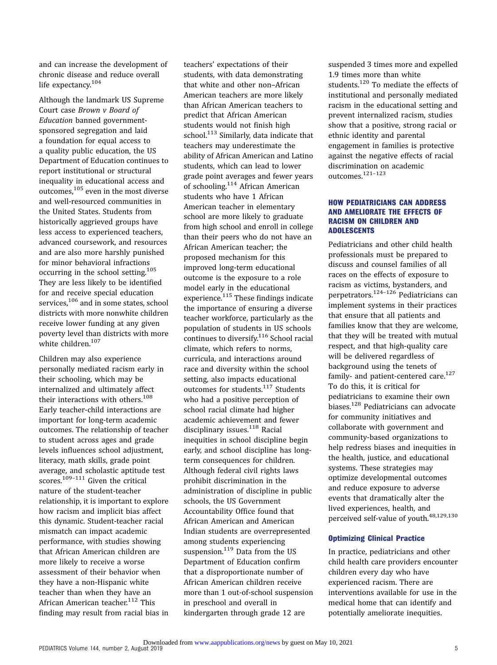and can increase the development of chronic disease and reduce overall life expectancy.<sup>104</sup>

Although the landmark US Supreme Court case Brown v Board of Education banned governmentsponsored segregation and laid a foundation for equal access to a quality public education, the US Department of Education continues to report institutional or structural inequality in educational access and outcomes,<sup>105</sup> even in the most diverse and well-resourced communities in the United States. Students from historically aggrieved groups have less access to experienced teachers, advanced coursework, and resources and are also more harshly punished for minor behavioral infractions occurring in the school setting.105 They are less likely to be identified for and receive special education services,<sup>106</sup> and in some states, school districts with more nonwhite children receive lower funding at any given poverty level than districts with more white children.<sup>107</sup>

Children may also experience personally mediated racism early in their schooling, which may be internalized and ultimately affect their interactions with others.<sup>108</sup> Early teacher-child interactions are important for long-term academic outcomes. The relationship of teacher to student across ages and grade levels influences school adjustment, literacy, math skills, grade point average, and scholastic aptitude test scores.<sup>109-111</sup> Given the critical nature of the student-teacher relationship, it is important to explore how racism and implicit bias affect this dynamic. Student-teacher racial mismatch can impact academic performance, with studies showing that African American children are more likely to receive a worse assessment of their behavior when they have a non-Hispanic white teacher than when they have an African American teacher.<sup>112</sup> This finding may result from racial bias in

teachers' expectations of their students, with data demonstrating that white and other non–African American teachers are more likely than African American teachers to predict that African American students would not finish high school.<sup>113</sup> Similarly, data indicate that teachers may underestimate the ability of African American and Latino students, which can lead to lower grade point averages and fewer years of schooling.<sup>114</sup> African American students who have 1 African American teacher in elementary school are more likely to graduate from high school and enroll in college than their peers who do not have an African American teacher; the proposed mechanism for this improved long-term educational outcome is the exposure to a role model early in the educational experience.<sup>115</sup> These findings indicate the importance of ensuring a diverse teacher workforce, particularly as the population of students in US schools continues to diversify.<sup>116</sup> School racial climate, which refers to norms, curricula, and interactions around race and diversity within the school setting, also impacts educational outcomes for students.117 Students who had a positive perception of school racial climate had higher academic achievement and fewer disciplinary issues.<sup>118</sup> Racial inequities in school discipline begin early, and school discipline has longterm consequences for children. Although federal civil rights laws prohibit discrimination in the administration of discipline in public schools, the US Government Accountability Office found that African American and American Indian students are overrepresented among students experiencing suspension. $119$  Data from the US Department of Education confirm that a disproportionate number of African American children receive more than 1 out-of-school suspension in preschool and overall in kindergarten through grade 12 are

suspended 3 times more and expelled 1.9 times more than white students.<sup>120</sup> To mediate the effects of institutional and personally mediated racism in the educational setting and prevent internalized racism, studies show that a positive, strong racial or ethnic identity and parental engagement in families is protective against the negative effects of racial discrimination on academic outcomes.121–<sup>123</sup>

#### HOW PEDIATRICIANS CAN ADDRESS AND AMELIORATE THE EFFECTS OF RACISM ON CHILDREN AND ADOLESCENTS

Pediatricians and other child health professionals must be prepared to discuss and counsel families of all races on the effects of exposure to racism as victims, bystanders, and perpetrators.124–<sup>126</sup> Pediatricians can implement systems in their practices that ensure that all patients and families know that they are welcome, that they will be treated with mutual respect, and that high-quality care will be delivered regardless of background using the tenets of family- and patient-centered care.<sup>127</sup> To do this, it is critical for pediatricians to examine their own hiases.<sup>128</sup> Pediatricians can advocate for community initiatives and collaborate with government and community-based organizations to help redress biases and inequities in the health, justice, and educational systems. These strategies may optimize developmental outcomes and reduce exposure to adverse events that dramatically alter the lived experiences, health, and perceived self-value of youth.<sup>48,129,130</sup>

# Optimizing Clinical Practice

In practice, pediatricians and other child health care providers encounter children every day who have experienced racism. There are interventions available for use in the medical home that can identify and potentially ameliorate inequities.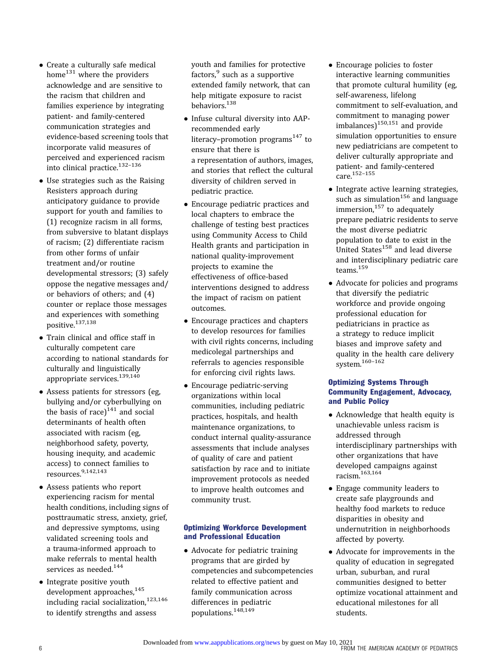- Create a culturally safe medical home<sup>131</sup> where the providers acknowledge and are sensitive to the racism that children and families experience by integrating patient- and family-centered communication strategies and evidence-based screening tools that incorporate valid measures of perceived and experienced racism into clinical practice.132–<sup>136</sup>
- Use strategies such as the Raising Resisters approach during anticipatory guidance to provide support for youth and families to (1) recognize racism in all forms, from subversive to blatant displays of racism; (2) differentiate racism from other forms of unfair treatment and/or routine developmental stressors; (3) safely oppose the negative messages and/ or behaviors of others; and (4) counter or replace those messages and experiences with something positive.137,138
- Train clinical and office staff in culturally competent care according to national standards for culturally and linguistically appropriate services.<sup>139,140</sup>
- Assess patients for stressors (eg, bullying and/or cyberbullying on the basis of race)<sup>141</sup> and social determinants of health often associated with racism (eg, neighborhood safety, poverty, housing inequity, and academic access) to connect families to resources.9,142,143
- Assess patients who report experiencing racism for mental health conditions, including signs of posttraumatic stress, anxiety, grief, and depressive symptoms, using validated screening tools and a trauma-informed approach to make referrals to mental health services as needed.<sup>144</sup>
- Integrate positive youth development approaches, 145 including racial socialization,<sup>123,146</sup> to identify strengths and assess

youth and families for protective factors, $9$  such as a supportive extended family network, that can help mitigate exposure to racist behaviors.138

- Infuse cultural diversity into AAPrecommended early literacy–promotion programs $147$  to ensure that there is a representation of authors, images, and stories that reflect the cultural diversity of children served in pediatric practice.
- Encourage pediatric practices and local chapters to embrace the challenge of testing best practices using Community Access to Child Health grants and participation in national quality-improvement projects to examine the effectiveness of office-based interventions designed to address the impact of racism on patient outcomes.
- Encourage practices and chapters to develop resources for families with civil rights concerns, including medicolegal partnerships and referrals to agencies responsible for enforcing civil rights laws.
- Encourage pediatric-serving organizations within local communities, including pediatric practices, hospitals, and health maintenance organizations, to conduct internal quality-assurance assessments that include analyses of quality of care and patient satisfaction by race and to initiate improvement protocols as needed to improve health outcomes and community trust.

#### Optimizing Workforce Development and Professional Education

• Advocate for pediatric training programs that are girded by competencies and subcompetencies related to effective patient and family communication across differences in pediatric populations.<sup>148,149</sup>

- Encourage policies to foster interactive learning communities that promote cultural humility (eg, self-awareness, lifelong commitment to self-evaluation, and commitment to managing power imbalances) $150,151$  and provide simulation opportunities to ensure new pediatricians are competent to deliver culturally appropriate and patient- and family-centered care.152–<sup>155</sup>
- Integrate active learning strategies, such as simulation $156$  and language  $\frac{157}{157}$  to adequately prepare pediatric residents to serve the most diverse pediatric population to date to exist in the United States<sup>158</sup> and lead diverse and interdisciplinary pediatric care teams.<sup>159</sup>
- Advocate for policies and programs that diversify the pediatric workforce and provide ongoing professional education for pediatricians in practice as a strategy to reduce implicit biases and improve safety and quality in the health care delivery system.160–<sup>162</sup>

### Optimizing Systems Through Community Engagement, Advocacy, and Public Policy

- Acknowledge that health equity is unachievable unless racism is addressed through interdisciplinary partnerships with other organizations that have developed campaigns against racism.163,164
- Engage community leaders to create safe playgrounds and healthy food markets to reduce disparities in obesity and undernutrition in neighborhoods affected by poverty.
- Advocate for improvements in the quality of education in segregated urban, suburban, and rural communities designed to better optimize vocational attainment and educational milestones for all students.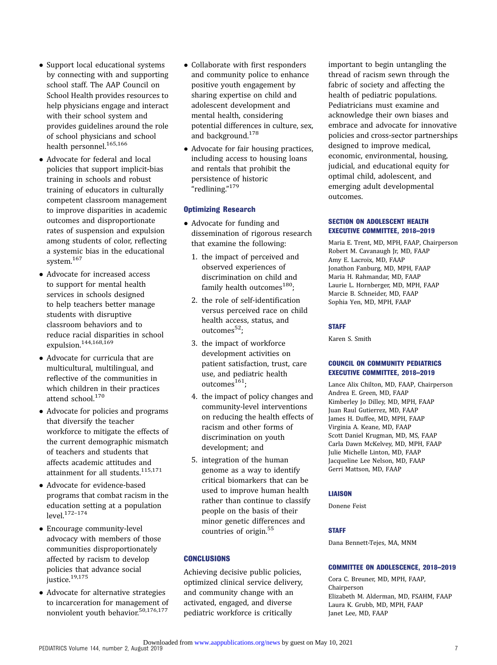- Support local educational systems by connecting with and supporting school staff. The AAP Council on School Health provides resources to help physicians engage and interact with their school system and provides guidelines around the role of school physicians and school health personnel.<sup>165,166</sup>
- Advocate for federal and local policies that support implicit-bias training in schools and robust training of educators in culturally competent classroom management to improve disparities in academic outcomes and disproportionate rates of suspension and expulsion among students of color, reflecting a systemic bias in the educational system.167
- Advocate for increased access to support for mental health services in schools designed to help teachers better manage students with disruptive classroom behaviors and to reduce racial disparities in school expulsion.144,168,169
- Advocate for curricula that are multicultural, multilingual, and reflective of the communities in which children in their practices attend school.<sup>170</sup>
- Advocate for policies and programs that diversify the teacher workforce to mitigate the effects of the current demographic mismatch of teachers and students that affects academic attitudes and attainment for all students.<sup>115,171</sup>
- Advocate for evidence-based programs that combat racism in the education setting at a population level.172–<sup>174</sup>
- Encourage community-level advocacy with members of those communities disproportionately affected by racism to develop policies that advance social justice.<sup>19,175</sup>
- Advocate for alternative strategies to incarceration for management of nonviolent youth behavior.<sup>50,176,177</sup>
- Collaborate with first responders and community police to enhance positive youth engagement by sharing expertise on child and adolescent development and mental health, considering potential differences in culture, sex, and background.178
- Advocate for fair housing practices, including access to housing loans and rentals that prohibit the persistence of historic "redlining." 179

### Optimizing Research

- Advocate for funding and dissemination of rigorous research that examine the following:
	- 1. the impact of perceived and observed experiences of discrimination on child and family health outcomes<sup>180</sup>;
	- 2. the role of self-identification versus perceived race on child health access, status, and outcomes<sup>52</sup>:
	- 3. the impact of workforce development activities on patient satisfaction, trust, care use, and pediatric health outcomes $161$ :
	- 4. the impact of policy changes and community-level interventions on reducing the health effects of racism and other forms of discrimination on youth development; and
	- 5. integration of the human genome as a way to identify critical biomarkers that can be used to improve human health rather than continue to classify people on the basis of their minor genetic differences and countries of origin.<sup>55</sup>

# **CONCLUSIONS**

Achieving decisive public policies, optimized clinical service delivery, and community change with an activated, engaged, and diverse pediatric workforce is critically

important to begin untangling the thread of racism sewn through the fabric of society and affecting the health of pediatric populations. Pediatricians must examine and acknowledge their own biases and embrace and advocate for innovative policies and cross-sector partnerships designed to improve medical, economic, environmental, housing, judicial, and educational equity for optimal child, adolescent, and emerging adult developmental outcomes.

#### SECTION ON ADOLESCENT HEALTH EXECUTIVE COMMITTEE, 2018–2019

Maria E. Trent, MD, MPH, FAAP, Chairperson Robert M. Cavanaugh Jr, MD, FAAP Amy E. Lacroix, MD, FAAP Jonathon Fanburg, MD, MPH, FAAP Maria H. Rahmandar, MD, FAAP Laurie L. Hornberger, MD, MPH, FAAP Marcie B. Schneider, MD, FAAP Sophia Yen, MD, MPH, FAAP

#### **STAFF**

Karen S. Smith

#### COUNCIL ON COMMUNITY PEDIATRICS EXECUTIVE COMMITTEE, 2018–2019

Lance Alix Chilton, MD, FAAP, Chairperson Andrea E. Green, MD, FAAP Kimberley Jo Dilley, MD, MPH, FAAP Juan Raul Gutierrez, MD, FAAP James H. Duffee, MD, MPH, FAAP Virginia A. Keane, MD, FAAP Scott Daniel Krugman, MD, MS, FAAP Carla Dawn McKelvey, MD, MPH, FAAP Julie Michelle Linton, MD, FAAP Jacqueline Lee Nelson, MD, FAAP Gerri Mattson, MD, FAAP

#### LIAISON

Donene Feist

#### **STAFF**

Dana Bennett-Tejes, MA, MNM

#### COMMITTEE ON ADOLESCENCE, 2018–2019

Cora C. Breuner, MD, MPH, FAAP, Chairperson Elizabeth M. Alderman, MD, FSAHM, FAAP Laura K. Grubb, MD, MPH, FAAP Janet Lee, MD, FAAP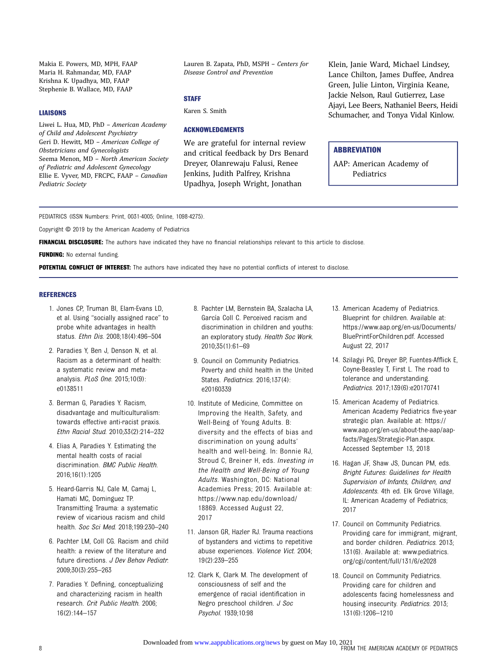Makia E. Powers, MD, MPH, FAAP Maria H. Rahmandar, MD, FAAP Krishna K. Upadhya, MD, FAAP Stephenie B. Wallace, MD, FAAP

#### LIAISONS

Liwei L. Hua, MD, PhD – American Academy of Child and Adolescent Psychiatry Geri D. Hewitt, MD – American College of Obstetricians and Gynecologists Seema Menon, MD – North American Society of Pediatric and Adolescent Gynecology Ellie E. Vyver, MD, FRCPC, FAAP – Canadian Pediatric Society

Lauren B. Zapata, PhD, MSPH – Centers for Disease Control and Prevention

#### **STAFF**

Karen S. Smith

#### ACKNOWLEDGMENTS

We are grateful for internal review and critical feedback by Drs Benard Dreyer, Olanrewaju Falusi, Renee Jenkins, Judith Palfrey, Krishna Upadhya, Joseph Wright, Jonathan

Klein, Janie Ward, Michael Lindsey, Lance Chilton, James Duffee, Andrea Green, Julie Linton, Virginia Keane, Jackie Nelson, Raul Gutierrez, Lase Ajayi, Lee Beers, Nathaniel Beers, Heidi Schumacher, and Tonya Vidal Kinlow.

#### **ABBREVIATION**

AAP: American Academy of Pediatrics

PEDIATRICS (ISSN Numbers: Print, 0031-4005; Online, 1098-4275).

Copyright © 2019 by the American Academy of Pediatrics

FINANCIAL DISCLOSURE: The authors have indicated they have no financial relationships relevant to this article to disclose.

FUNDING: No external funding.

POTENTIAL CONFLICT OF INTEREST: The authors have indicated they have no potential conflicts of interest to disclose.

#### REFERENCES

- 1. Jones CP, Truman BI, Elam-Evans LD, et al. Using "socially assigned race" to probe white advantages in health status. Ethn Dis. 2008;18(4):496–504
- 2. Paradies Y, Ben J, Denson N, et al. Racism as a determinant of health: a systematic review and metaanalysis. PLoS One. 2015;10(9): e0138511
- 3. Berman G, Paradies Y. Racism, disadvantage and multiculturalism: towards effective anti-racist praxis. Ethn Racial Stud. 2010;33(2):214–232
- 4. Elias A, Paradies Y. Estimating the mental health costs of racial discrimination. BMC Public Health. 2016;16(1):1205
- 5. Heard-Garris NJ, Cale M, Camaj L, Hamati MC, Dominguez TP. Transmitting Trauma: a systematic review of vicarious racism and child health. Soc Sci Med. 2018;199:230–240
- 6. Pachter LM, Coll CG. Racism and child health: a review of the literature and future directions. J Dev Behav Pediatr. 2009;30(3):255–263
- 7. Paradies Y. Defining, conceptualizing and characterizing racism in health research. Crit Public Health. 2006; 16(2):144–157
- 8. Pachter LM, Bernstein BA, Szalacha LA, García Coll C. Perceived racism and discrimination in children and youths: an exploratory study. Health Soc Work. 2010;35(1):61–69
- 9. Council on Community Pediatrics. Poverty and child health in the United States. Pediatrics. 2016;137(4): e20160339
- 10. Institute of Medicine, Committee on Improving the Health, Safety, and Well-Being of Young Adults. B: diversity and the effects of bias and discrimination on young adults' health and well-being. In: Bonnie RJ, Stroud C, Breiner H, eds. Investing in the Health and Well-Being of Young Adults. Washington, DC: National Academies Press; 2015. Available at: [https://www.nap.edu/download/](https://www.nap.edu/download/18869) [18869](https://www.nap.edu/download/18869). Accessed August 22, 2017
- 11. Janson GR, Hazler RJ. Trauma reactions of bystanders and victims to repetitive abuse experiences. Violence Vict. 2004; 19(2):239–255
- 12. Clark K, Clark M. The development of consciousness of self and the emergence of racial identification in Negro preschool children. J Soc Psychol. 1939;10:98
- 13. American Academy of Pediatrics. Blueprint for children. Available at: [https://www.aap.org/en-us/Documents/](https://www.aap.org/en-us/Documents/BluePrintForChildren.pdf) [BluePrintForChildren.pdf](https://www.aap.org/en-us/Documents/BluePrintForChildren.pdf). Accessed August 22, 2017
- 14. Szilagyi PG, Dreyer BP, Fuentes-Afflick E, Coyne-Beasley T, First L. The road to tolerance and understanding. Pediatrics. 2017;139(6):e20170741
- 15. American Academy of Pediatrics. American Academy Pediatrics five-year strategic plan. Available at: [https://](https://www.aap.org/en-us/about-the-aap/aap-facts/Pages/Strategic-Plan.aspx) [www.aap.org/en-us/about-the-aap/aap](https://www.aap.org/en-us/about-the-aap/aap-facts/Pages/Strategic-Plan.aspx)[facts/Pages/Strategic-Plan.aspx](https://www.aap.org/en-us/about-the-aap/aap-facts/Pages/Strategic-Plan.aspx). Accessed September 13, 2018
- 16. Hagan JF, Shaw JS, Duncan PM, eds. Bright Futures: Guidelines for Health Supervision of Infants, Children, and Adolescents. 4th ed. Elk Grove Village, IL: American Academy of Pediatrics; 2017
- 17. Council on Community Pediatrics. Providing care for immigrant, migrant, and border children. Pediatrics. 2013; 131(6). Available at: [www.pediatrics.](http://www.pediatrics.org/cgi/content/full/131/6/e2028) [org/cgi/content/full/131/6/e2028](http://www.pediatrics.org/cgi/content/full/131/6/e2028)
- 18. Council on Community Pediatrics. Providing care for children and adolescents facing homelessness and housing insecurity. Pediatrics. 2013; 131(6):1206–1210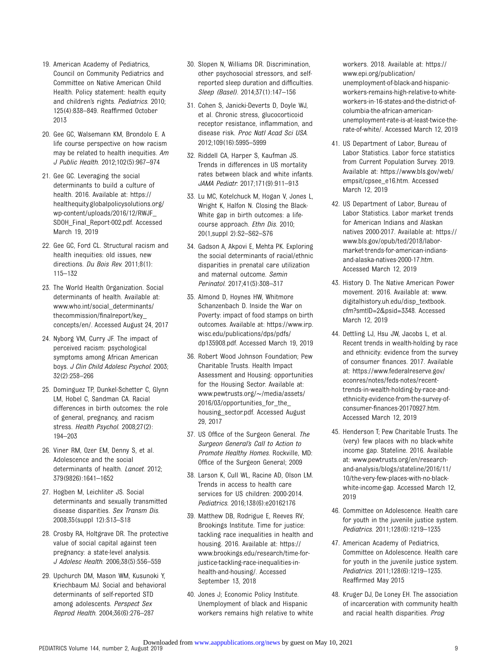- 19. American Academy of Pediatrics, Council on Community Pediatrics and Committee on Native American Child Health. Policy statement: health equity and children's rights. Pediatrics. 2010; 125(4):838–849. Reaffirmed October 2013
- 20. Gee GC, Walsemann KM, Brondolo E. A life course perspective on how racism may be related to health inequities. Am J Public Health. 2012;102(5):967–974
- 21. Gee GC. Leveraging the social determinants to build a culture of health. 2016. Available at: [https://](https://healthequity.globalpolicysolutions.org/wp-content/uploads/2016/12/RWJF_SDOH_Final_Report-002.pdf) [healthequity.globalpolicysolutions.org/](https://healthequity.globalpolicysolutions.org/wp-content/uploads/2016/12/RWJF_SDOH_Final_Report-002.pdf) [wp-content/uploads/2016/12/RWJF\\_](https://healthequity.globalpolicysolutions.org/wp-content/uploads/2016/12/RWJF_SDOH_Final_Report-002.pdf) [SDOH\\_Final\\_Report-002.pdf](https://healthequity.globalpolicysolutions.org/wp-content/uploads/2016/12/RWJF_SDOH_Final_Report-002.pdf). Accessed March 19, 2019
- 22. Gee GC, Ford CL. Structural racism and health inequities: old issues, new directions. Du Bois Rev. 2011;8(1): 115–132
- 23. The World Health Organization. Social determinants of health. Available at: [www.who.int/social\\_determinants/](http://www.who.int/social_determinants/thecommission/finalreport/key_concepts/en/) [thecommission/](http://www.who.int/social_determinants/thecommission/finalreport/key_concepts/en/)finalreport/key\_ [concepts/en/](http://www.who.int/social_determinants/thecommission/finalreport/key_concepts/en/). Accessed August 24, 2017
- 24. Nyborg VM, Curry JF. The impact of perceived racism: psychological symptoms among African American boys. J Clin Child Adolesc Psychol. 2003; 32(2):258–266
- 25. Dominguez TP, Dunkel-Schetter C, Glynn LM, Hobel C, Sandman CA. Racial differences in birth outcomes: the role of general, pregnancy, and racism stress. Health Psychol. 2008;27(2): 194–203
- 26. Viner RM, Ozer EM, Denny S, et al. Adolescence and the social determinants of health. Lancet. 2012; 379(9826):1641–1652
- 27. Hogben M, Leichliter JS. Social determinants and sexually transmitted disease disparities. Sex Transm Dis. 2008;35(suppl 12):S13–S18
- 28. Crosby RA, Holtgrave DR. The protective value of social capital against teen pregnancy: a state-level analysis. J Adolesc Health. 2006;38(5):556–559
- 29. Upchurch DM, Mason WM, Kusunoki Y, Kriechbaum MJ. Social and behavioral determinants of self-reported STD among adolescents. Perspect Sex Reprod Health. 2004;36(6):276–287
- 30. Slopen N, Williams DR. Discrimination, other psychosocial stressors, and selfreported sleep duration and difficulties. Sleep (Basel). 2014;37(1):147–156
- 31. Cohen S, Janicki-Deverts D, Doyle WJ, et al. Chronic stress, glucocorticoid receptor resistance, inflammation, and disease risk. Proc Natl Acad Sci USA. 2012;109(16):5995–5999
- 32. Riddell CA, Harper S, Kaufman JS. Trends in differences in US mortality rates between black and white infants. JAMA Pediatr. 2017;171(9):911–913
- 33. Lu MC, Kotelchuck M, Hogan V, Jones L, Wright K, Halfon N. Closing the Black-White gap in birth outcomes: a lifecourse approach. Ethn Dis. 2010; 20(1,suppl 2):S2–S62–S76
- 34. Gadson A, Akpovi E, Mehta PK. Exploring the social determinants of racial/ethnic disparities in prenatal care utilization and maternal outcome. Semin Perinatol. 2017;41(5):308–317
- 35. Almond D, Hoynes HW, Whitmore Schanzenbach D. Inside the War on Poverty: impact of food stamps on birth outcomes. Available at: [https://www.irp.](https://www.irp.wisc.edu/publications/dps/pdfs/dp135908.pdf) [wisc.edu/publications/dps/pdfs/](https://www.irp.wisc.edu/publications/dps/pdfs/dp135908.pdf) [dp135908.pdf.](https://www.irp.wisc.edu/publications/dps/pdfs/dp135908.pdf) Accessed March 19, 2019
- 36. Robert Wood Johnson Foundation; Pew Charitable Trusts. Health Impact Assessment and Housing: opportunities for the Housing Sector. Available at: [www.pewtrusts.org/](http://www.pewtrusts.org/~/media/assets/2016/03/opportunities_for_the_housing_sector.pdf)∼/media/assets/ 2016/03/opportunities for the [housing\\_sector.pdf.](http://www.pewtrusts.org/~/media/assets/2016/03/opportunities_for_the_housing_sector.pdf) Accessed August 29, 2017
- 37. US Office of the Surgeon General. The Surgeon General's Call to Action to Promote Healthy Homes. Rockville, MD: Office of the Surgeon General; 2009
- 38. Larson K, Cull WL, Racine AD, Olson LM. Trends in access to health care services for US children: 2000-2014. Pediatrics. 2016;138(6):e20162176
- 39. Matthew DB, Rodrigue E, Reeves RV; Brookings Institute. Time for justice: tackling race inequalities in health and housing. 2016. Available at: [https://](https://www.brookings.edu/research/time-for-justice-tackling-race-inequalities-in-health-and-housing/) [www.brookings.edu/research/time-for](https://www.brookings.edu/research/time-for-justice-tackling-race-inequalities-in-health-and-housing/)[justice-tackling-race-inequalities-in](https://www.brookings.edu/research/time-for-justice-tackling-race-inequalities-in-health-and-housing/)[health-and-housing/.](https://www.brookings.edu/research/time-for-justice-tackling-race-inequalities-in-health-and-housing/) Accessed September 13, 2018
- 40. Jones J; Economic Policy Institute. Unemployment of black and Hispanic workers remains high relative to white

workers. 2018. Available at: [https://](https://www.epi.org/publication/unemployment-of-black-and-hispanic-workers-remains-high-relative-to-white-workers-in-16-states-and-the-district-of-columbia-the-african-american-unemployment-rate-is-at-least-twice-the-rate-of-white/) [www.epi.org/publication/](https://www.epi.org/publication/unemployment-of-black-and-hispanic-workers-remains-high-relative-to-white-workers-in-16-states-and-the-district-of-columbia-the-african-american-unemployment-rate-is-at-least-twice-the-rate-of-white/) [unemployment-of-black-and-hispanic](https://www.epi.org/publication/unemployment-of-black-and-hispanic-workers-remains-high-relative-to-white-workers-in-16-states-and-the-district-of-columbia-the-african-american-unemployment-rate-is-at-least-twice-the-rate-of-white/)[workers-remains-high-relative-to-white](https://www.epi.org/publication/unemployment-of-black-and-hispanic-workers-remains-high-relative-to-white-workers-in-16-states-and-the-district-of-columbia-the-african-american-unemployment-rate-is-at-least-twice-the-rate-of-white/)[workers-in-16-states-and-the-district-of](https://www.epi.org/publication/unemployment-of-black-and-hispanic-workers-remains-high-relative-to-white-workers-in-16-states-and-the-district-of-columbia-the-african-american-unemployment-rate-is-at-least-twice-the-rate-of-white/)[columbia-the-african-american](https://www.epi.org/publication/unemployment-of-black-and-hispanic-workers-remains-high-relative-to-white-workers-in-16-states-and-the-district-of-columbia-the-african-american-unemployment-rate-is-at-least-twice-the-rate-of-white/)[unemployment-rate-is-at-least-twice-the](https://www.epi.org/publication/unemployment-of-black-and-hispanic-workers-remains-high-relative-to-white-workers-in-16-states-and-the-district-of-columbia-the-african-american-unemployment-rate-is-at-least-twice-the-rate-of-white/)[rate-of-white/](https://www.epi.org/publication/unemployment-of-black-and-hispanic-workers-remains-high-relative-to-white-workers-in-16-states-and-the-district-of-columbia-the-african-american-unemployment-rate-is-at-least-twice-the-rate-of-white/). Accessed March 12, 2019

- 41. US Department of Labor, Bureau of Labor Statistics. Labor force statistics from Current Population Survey. 2019. Available at: [https://www.bls.gov/web/](https://www.bls.gov/web/empsit/cpsee_e16.htm) [empsit/cpsee\\_e16.htm](https://www.bls.gov/web/empsit/cpsee_e16.htm). Accessed March 12, 2019
- 42. US Department of Labor, Bureau of Labor Statistics. Labor market trends for American Indians and Alaskan natives 2000-2017. Available at: [https://](https://www.bls.gov/opub/ted/2018/labor-market-trends-for-american-indians-and-alaska-natives-2000-17.htm) [www.bls.gov/opub/ted/2018/labor](https://www.bls.gov/opub/ted/2018/labor-market-trends-for-american-indians-and-alaska-natives-2000-17.htm)[market-trends-for-american-indians](https://www.bls.gov/opub/ted/2018/labor-market-trends-for-american-indians-and-alaska-natives-2000-17.htm)[and-alaska-natives-2000-17.htm](https://www.bls.gov/opub/ted/2018/labor-market-trends-for-american-indians-and-alaska-natives-2000-17.htm). Accessed March 12, 2019
- 43. History D. The Native American Power movement. 2016. Available at: [www.](http://www.digitalhistory.uh.edu/disp_textbook.cfm?smtID=2&psid=3348) [digitalhistory.uh.edu/disp\\_textbook.](http://www.digitalhistory.uh.edu/disp_textbook.cfm?smtID=2&psid=3348) [cfm?smtID=2&psid=3348](http://www.digitalhistory.uh.edu/disp_textbook.cfm?smtID=2&psid=3348). Accessed March 12, 2019
- 44. Dettling LJ, Hsu JW, Jacobs L, et al. Recent trends in wealth-holding by race and ethnicity: evidence from the survey of consumer finances. 2017. Available at: [https://www.federalreserve.gov/](https://www.federalreserve.gov/econres/notes/feds-notes/recent-trends-in-wealth-holding-by-race-and-ethnicity-evidence-from-the-survey-of-consumer-finances-20170927.htm) [econres/notes/feds-notes/recent](https://www.federalreserve.gov/econres/notes/feds-notes/recent-trends-in-wealth-holding-by-race-and-ethnicity-evidence-from-the-survey-of-consumer-finances-20170927.htm)[trends-in-wealth-holding-by-race-and](https://www.federalreserve.gov/econres/notes/feds-notes/recent-trends-in-wealth-holding-by-race-and-ethnicity-evidence-from-the-survey-of-consumer-finances-20170927.htm)[ethnicity-evidence-from-the-survey-of](https://www.federalreserve.gov/econres/notes/feds-notes/recent-trends-in-wealth-holding-by-race-and-ethnicity-evidence-from-the-survey-of-consumer-finances-20170927.htm)consumer-fi[nances-20170927.htm.](https://www.federalreserve.gov/econres/notes/feds-notes/recent-trends-in-wealth-holding-by-race-and-ethnicity-evidence-from-the-survey-of-consumer-finances-20170927.htm) Accessed March 12, 2019
- 45. Henderson T; Pew Charitable Trusts. The (very) few places with no black-white income gap. Stateline. 2016. Available at: [www.pewtrusts.org/en/research](http://www.pewtrusts.org/en/research-and-analysis/blogs/stateline/2016/11/10/the-very-few-places-with-no-black-white-income-gap)[and-analysis/blogs/stateline/2016/11/](http://www.pewtrusts.org/en/research-and-analysis/blogs/stateline/2016/11/10/the-very-few-places-with-no-black-white-income-gap) [10/the-very-few-places-with-no-black](http://www.pewtrusts.org/en/research-and-analysis/blogs/stateline/2016/11/10/the-very-few-places-with-no-black-white-income-gap)[white-income-gap](http://www.pewtrusts.org/en/research-and-analysis/blogs/stateline/2016/11/10/the-very-few-places-with-no-black-white-income-gap). Accessed March 12, 2019
- 46. Committee on Adolescence. Health care for youth in the juvenile justice system. Pediatrics. 2011;128(6):1219–1235
- 47. American Academy of Pediatrics, Committee on Adolescence. Health care for youth in the juvenile justice system. Pediatrics. 2011;128(6):1219–1235. Reaffirmed May 2015
- 48. Kruger DJ, De Loney EH. The association of incarceration with community health and racial health disparities. Prog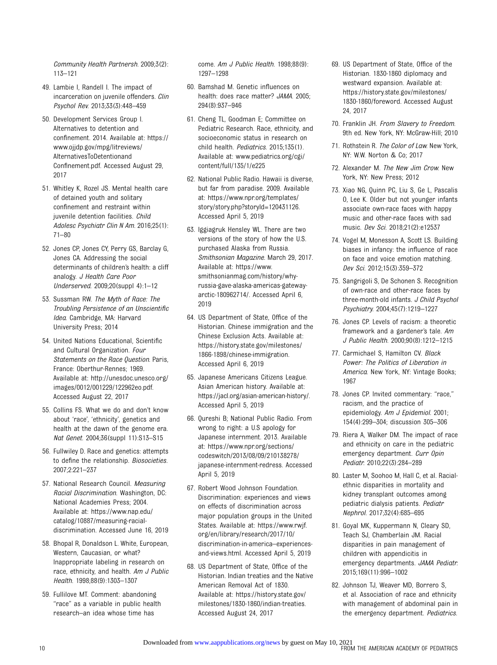Community Health Partnersh. 2009;3(2): 113–121

- 49. Lambie I, Randell I. The impact of incarceration on juvenile offenders. Clin Psychol Rev. 2013;33(3):448–459
- 50. Development Services Group I. Alternatives to detention and confinement. 2014. Available at: [https://](https://www.ojjdp.gov/mpg/litreviews/AlternativesToDetentionandConfinement.pdf) [www.ojjdp.gov/mpg/litreviews/](https://www.ojjdp.gov/mpg/litreviews/AlternativesToDetentionandConfinement.pdf) [AlternativesToDetentionand](https://www.ojjdp.gov/mpg/litreviews/AlternativesToDetentionandConfinement.pdf) Confi[nement.pdf.](https://www.ojjdp.gov/mpg/litreviews/AlternativesToDetentionandConfinement.pdf) Accessed August 29, 2017
- 51. Whitley K, Rozel JS. Mental health care of detained youth and solitary confinement and restraint within juvenile detention facilities. Child Adolesc Psychiatr Clin N Am. 2016;25(1): 71–80
- 52. Jones CP, Jones CY, Perry GS, Barclay G, Jones CA. Addressing the social determinants of children's health: a cliff analogy. J Health Care Poor Underserved. 2009;20(suppl 4):1–12
- 53. Sussman RW. The Myth of Race: The Troubling Persistence of an Unscientific Idea. Cambridge, MA: Harvard University Press; 2014
- 54. United Nations Educational, Scientific and Cultural Organization. Four Statements on the Race Ouestion. Paris, France: Oberthur-Rennes; 1969. Available at: [http://unesdoc.unesco.org/](http://unesdoc.unesco.org/images/0012/001229/122962eo.pdf) [images/0012/001229/122962eo.pdf](http://unesdoc.unesco.org/images/0012/001229/122962eo.pdf). Accessed August 22, 2017
- 55. Collins FS. What we do and don't know about 'race', 'ethnicity', genetics and health at the dawn of the genome era. Nat Genet. 2004;36(suppl 11):S13–S15
- 56. Fullwiley D. Race and genetics: attempts to define the relationship. Biosocieties. 2007;2:221–237
- 57. National Research Council. Measuring Racial Discrimination. Washington, DC: National Academies Press; 2004. Available at: [https://www.nap.edu/](https://www.nap.edu/catalog/10887/measuring-racial-discrimination) [catalog/10887/measuring-racial](https://www.nap.edu/catalog/10887/measuring-racial-discrimination)[discrimination](https://www.nap.edu/catalog/10887/measuring-racial-discrimination). Accessed June 16, 2019
- 58. Bhopal R, Donaldson L. White, European, Western, Caucasian, or what? Inappropriate labeling in research on race, ethnicity, and health. Am J Public Health. 1998;88(9):1303–1307
- 59. Fullilove MT. Comment: abandoning "race" as a variable in public health research–an idea whose time has

come. Am J Public Health. 1998;88(9): 1297–1298

- 60. Bamshad M. Genetic influences on health: does race matter? JAMA. 2005; 294(8):937–946
- 61. Cheng TL, Goodman E; Committee on Pediatric Research. Race, ethnicity, and socioeconomic status in research on child health. Pediatrics. 2015;135(1). Available at: [www.pediatrics.org/cgi/](http://www.pediatrics.org/cgi/content/full/135/1/e225) [content/full/135/1/e225](http://www.pediatrics.org/cgi/content/full/135/1/e225)
- 62. National Public Radio. Hawaii is diverse, but far from paradise. 2009. Available at: [https://www.npr.org/templates/](https://www.npr.org/templates/story/story.php?storyId=120431126) [story/story.php?storyId=120431126.](https://www.npr.org/templates/story/story.php?storyId=120431126) Accessed April 5, 2019
- 63. Iggiagruk Hensley WL. There are two versions of the story of how the U.S. purchased Alaska from Russia. Smithsonian Magazine. March 29, 2017. Available at: [https://www.](https://www.smithsonianmag.com/history/why-russia-gave-alaska-americas-gateway-arctic-180962714/) [smithsonianmag.com/history/why](https://www.smithsonianmag.com/history/why-russia-gave-alaska-americas-gateway-arctic-180962714/)[russia-gave-alaska-americas-gateway](https://www.smithsonianmag.com/history/why-russia-gave-alaska-americas-gateway-arctic-180962714/)[arctic-180962714/.](https://www.smithsonianmag.com/history/why-russia-gave-alaska-americas-gateway-arctic-180962714/) Accessed April 6, 2019
- 64. US Department of State, Office of the Historian. Chinese immigration and the Chinese Exclusion Acts. Available at: [https://history.state.gov/milestones/](https://history.state.gov/milestones/1866-1898/chinese-immigration) [1866-1898/chinese-immigration](https://history.state.gov/milestones/1866-1898/chinese-immigration). Accessed April 6, 2019
- 65. Japanese Americans Citizens League. Asian American history. Available at: <https://jacl.org/asian-american-history/>. Accessed April 5, 2019
- 66. Qureshi B; National Public Radio. From wrong to right: a U.S apology for Japanese internment. 2013. Available at: [https://www.npr.org/sections/](https://www.npr.org/sections/codeswitch/2013/08/09/210138278/japanese-internment-redress) [codeswitch/2013/08/09/210138278/](https://www.npr.org/sections/codeswitch/2013/08/09/210138278/japanese-internment-redress) [japanese-internment-redress.](https://www.npr.org/sections/codeswitch/2013/08/09/210138278/japanese-internment-redress) Accessed April 5, 2019
- 67. Robert Wood Johnson Foundation. Discrimination: experiences and views on effects of discrimination across major population groups in the United States. Available at: [https://www.rwjf.](https://www.rwjf.org/en/library/research/2017/10/discrimination-in-america--experiences-and-views.html) [org/en/library/research/2017/10/](https://www.rwjf.org/en/library/research/2017/10/discrimination-in-america--experiences-and-views.html) [discrimination-in-america](https://www.rwjf.org/en/library/research/2017/10/discrimination-in-america--experiences-and-views.html)–experiences[and-views.html.](https://www.rwjf.org/en/library/research/2017/10/discrimination-in-america--experiences-and-views.html) Accessed April 5, 2019
- 68. US Department of State, Office of the Historian. Indian treaties and the Native American Removal Act of 1830. Available at: [https://history.state.gov/](https://history.state.gov/milestones/1830-1860/indian-treaties) [milestones/1830-1860/indian-treaties.](https://history.state.gov/milestones/1830-1860/indian-treaties) Accessed August 24, 2017
- 69. US Department of State, Office of the Historian. 1830-1860 diplomacy and westward expansion. Available at: [https://history.state.gov/milestones/](https://history.state.gov/milestones/1830-1860/foreword) [1830-1860/foreword](https://history.state.gov/milestones/1830-1860/foreword). Accessed August 24, 2017
- 70. Franklin JH. From Slavery to Freedom. 9th ed. New York, NY: McGraw-Hill; 2010
- 71. Rothstein R. The Color of Law. New York, NY: W.W. Norton & Co; 2017
- 72. Alexander M. The New Jim Crow. New York, NY: New Press; 2012
- 73. Xiao NG, Quinn PC, Liu S, Ge L, Pascalis O, Lee K. Older but not younger infants associate own-race faces with happy music and other-race faces with sad music. Dev Sci. 2018;21(2):e12537
- 74. Vogel M, Monesson A, Scott LS. Building biases in infancy: the influence of race on face and voice emotion matching. Dev Sci. 2012;15(3):359–372
- 75. Sangrigoli S, De Schonen S. Recognition of own-race and other-race faces by three-month-old infants. J Child Psychol Psychiatry. 2004;45(7):1219–1227
- 76. Jones CP. Levels of racism: a theoretic framework and a gardener's tale. Am J Public Health. 2000;90(8):1212–1215
- 77. Carmichael S, Hamilton CV. Black Power: The Politics of Liberation in America. New York, NY: Vintage Books; 1967
- 78. Jones CP. Invited commentary: "race," racism, and the practice of epidemiology. Am J Epidemiol. 2001; 154(4):299–304; discussion 305–306
- 79. Riera A, Walker DM. The impact of race and ethnicity on care in the pediatric emergency department. Curr Opin Pediatr. 2010;22(3):284–289
- 80. Laster M, Soohoo M, Hall C, et al. Racialethnic disparities in mortality and kidney transplant outcomes among pediatric dialysis patients. Pediatr Nephrol. 2017;32(4):685–695
- 81. Goyal MK, Kuppermann N, Cleary SD, Teach SJ, Chamberlain JM. Racial disparities in pain management of children with appendicitis in emergency departments. JAMA Pediatr. 2015;169(11):996–1002
- 82. Johnson TJ, Weaver MD, Borrero S, et al. Association of race and ethnicity with management of abdominal pain in the emergency department. Pediatrics.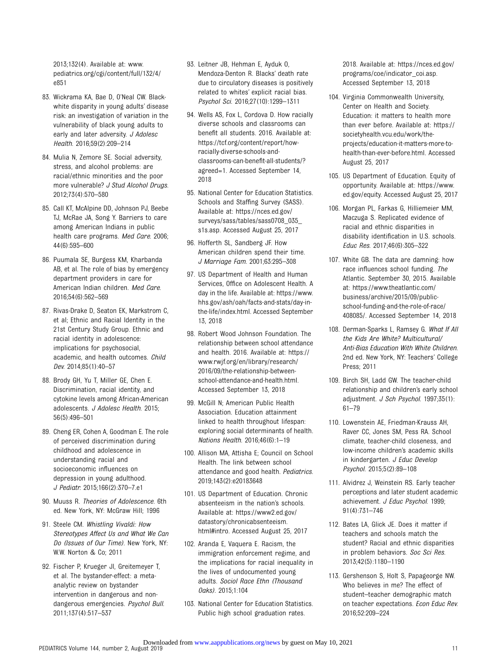2013;132(4). Available at: [www.](http://www.pediatrics.org/cgi/content/full/132/4/e851) [pediatrics.org/cgi/content/full/132/4/](http://www.pediatrics.org/cgi/content/full/132/4/e851) [e851](http://www.pediatrics.org/cgi/content/full/132/4/e851)

- 83. Wickrama KA, Bae D, O'Neal CW. Blackwhite disparity in young adults' disease risk: an investigation of variation in the vulnerability of black young adults to early and later adversity. J Adolesc Health. 2016;59(2):209–214
- 84. Mulia N, Zemore SE. Social adversity, stress, and alcohol problems: are racial/ethnic minorities and the poor more vulnerable? J Stud Alcohol Drugs. 2012;73(4):570–580
- 85. Call KT, McAlpine DD, Johnson PJ, Beebe TJ, McRae JA, Song Y. Barriers to care among American Indians in public health care programs. Med Care. 2006; 44(6):595–600
- 86. Puumala SE, Burgess KM, Kharbanda AB, et al. The role of bias by emergency department providers in care for American Indian children. Med Care. 2016;54(6):562–569
- 87. Rivas-Drake D, Seaton EK, Markstrom C, et al; Ethnic and Racial Identity in the 21st Century Study Group. Ethnic and racial identity in adolescence: implications for psychosocial, academic, and health outcomes. Child Dev. 2014;85(1):40–57
- 88. Brody GH, Yu T, Miller GE, Chen E. Discrimination, racial identity, and cytokine levels among African-American adolescents. J Adolesc Health. 2015; 56(5):496–501
- 89. Cheng ER, Cohen A, Goodman E. The role of perceived discrimination during childhood and adolescence in understanding racial and socioeconomic influences on depression in young adulthood. J Pediatr. 2015;166(2):370–7.e1
- 90. Muuss R. Theories of Adolescence. 6th ed. New York, NY: McGraw Hill; 1996
- 91. Steele CM. Whistling Vivaldi: How Stereotypes Affect Us and What We Can Do (Issues of Our Time). New York, NY: W.W. Norton & Co; 2011
- 92. Fischer P, Krueger JI, Greitemeyer T, et al. The bystander-effect: a metaanalytic review on bystander intervention in dangerous and nondangerous emergencies. Psychol Bull. 2011;137(4):517–537
- 93. Leitner JB, Hehman E, Ayduk O, Mendoza-Denton R. Blacks' death rate due to circulatory diseases is positively related to whites' explicit racial bias. Psychol Sci. 2016;27(10):1299–1311
- 94. Wells AS, Fox L, Cordova D. How racially diverse schools and classrooms can benefit all students. 2016. Available at: [https://tcf.org/content/report/how](https://tcf.org/content/report/how-racially-diverse-schools-and-classrooms-can-benefit-all-students/?agreed=1)[racially-diverse-schools-and](https://tcf.org/content/report/how-racially-diverse-schools-and-classrooms-can-benefit-all-students/?agreed=1)[classrooms-can-bene](https://tcf.org/content/report/how-racially-diverse-schools-and-classrooms-can-benefit-all-students/?agreed=1)fit-all-students/? [agreed=1.](https://tcf.org/content/report/how-racially-diverse-schools-and-classrooms-can-benefit-all-students/?agreed=1) Accessed September 14, 2018
- 95. National Center for Education Statistics. Schools and Staffing Survey (SASS). Available at: [https://nces.ed.gov/](https://nces.ed.gov/surveys/sass/tables/sass0708_035_s1s.asp) [surveys/sass/tables/sass0708\\_035\\_](https://nces.ed.gov/surveys/sass/tables/sass0708_035_s1s.asp) [s1s.asp](https://nces.ed.gov/surveys/sass/tables/sass0708_035_s1s.asp). Accessed August 25, 2017
- 96. Hofferth SL, Sandberg JF. How American children spend their time. J Marriage Fam. 2001;63:295–308
- 97. US Department of Health and Human Services, Office on Adolescent Health. A day in the life. Available at: [https://www.](https://www.hhs.gov/ash/oah/facts-and-stats/day-in-the-life/index.html) [hhs.gov/ash/oah/facts-and-stats/day-in](https://www.hhs.gov/ash/oah/facts-and-stats/day-in-the-life/index.html)[the-life/index.html](https://www.hhs.gov/ash/oah/facts-and-stats/day-in-the-life/index.html). Accessed September 13, 2018
- 98. Robert Wood Johnson Foundation. The relationship between school attendance and health. 2016. Available at: [https://](https://www.rwjf.org/en/library/research/2016/09/the-relationship-between-school-attendance-and-health.html) [www.rwjf.org/en/library/research/](https://www.rwjf.org/en/library/research/2016/09/the-relationship-between-school-attendance-and-health.html) [2016/09/the-relationship-between](https://www.rwjf.org/en/library/research/2016/09/the-relationship-between-school-attendance-and-health.html)[school-attendance-and-health.html](https://www.rwjf.org/en/library/research/2016/09/the-relationship-between-school-attendance-and-health.html). Accessed September 13, 2018
- 99. McGill N; American Public Health Association. Education attainment linked to health throughout lifespan: exploring social determinants of health. Nations Health. 2016;46(6):1–19
- 100. Allison MA, Attisha E; Council on School Health. The link between school attendance and good health. Pediatrics. 2019;143(2):e20183648
- 101. US Department of Education. Chronic absenteeism in the nation's schools. Available at: [https://www2.ed.gov/](https://www2.ed.gov/datastory/chronicabsenteeism.html#intro) [datastory/chronicabsenteeism.](https://www2.ed.gov/datastory/chronicabsenteeism.html#intro) [html#intro.](https://www2.ed.gov/datastory/chronicabsenteeism.html#intro) Accessed August 25, 2017
- 102. Aranda E, Vaquera E. Racism, the immigration enforcement regime, and the implications for racial inequality in the lives of undocumented young adults. Sociol Race Ethn (Thousand Oaks). 2015;1:104
- 103. National Center for Education Statistics. Public high school graduation rates.

2018. Available at: [https://nces.ed.gov/](https://nces.ed.gov/programs/coe/indicator_coi.asp) [programs/coe/indicator\\_coi.asp](https://nces.ed.gov/programs/coe/indicator_coi.asp). Accessed September 13, 2018

- 104. Virginia Commonwealth University, Center on Health and Society. Education: it matters to health more than ever before. Available at: [https://](https://societyhealth.vcu.edu/work/the-projects/education-it-matters-more-to-health-than-ever-before.html) [societyhealth.vcu.edu/work/the](https://societyhealth.vcu.edu/work/the-projects/education-it-matters-more-to-health-than-ever-before.html)[projects/education-it-matters-more-to](https://societyhealth.vcu.edu/work/the-projects/education-it-matters-more-to-health-than-ever-before.html)[health-than-ever-before.html.](https://societyhealth.vcu.edu/work/the-projects/education-it-matters-more-to-health-than-ever-before.html) Accessed August 25, 2017
- 105. US Department of Education. Equity of opportunity. Available at: [https://www.](https://www.ed.gov/equity) [ed.gov/equity.](https://www.ed.gov/equity) Accessed August 25, 2017
- 106. Morgan PL, Farkas G, Hilliemeier MM, Maczuga S. Replicated evidence of racial and ethnic disparities in disability identification in U.S. schools. Educ Res. 2017;46(6):305–322
- 107. White GB. The data are damning: how race influences school funding. The Atlantic. September 30, 2015. Available at: [https://www.theatlantic.com/](https://www.theatlantic.com/business/archive/2015/09/public-school-funding-and-the-role-of-race/408085/) [business/archive/2015/09/public](https://www.theatlantic.com/business/archive/2015/09/public-school-funding-and-the-role-of-race/408085/)[school-funding-and-the-role-of-race/](https://www.theatlantic.com/business/archive/2015/09/public-school-funding-and-the-role-of-race/408085/) [408085/.](https://www.theatlantic.com/business/archive/2015/09/public-school-funding-and-the-role-of-race/408085/) Accessed September 14, 2018
- 108. Derman-Sparks L, Ramsey G. What If All the Kids Are White? Multicultural/ Anti-Bias Education With White Children. 2nd ed. New York, NY: Teachers' College Press; 2011
- 109. Birch SH, Ladd GW. The teacher-child relationship and children's early school adjustment. J Sch Psychol. 1997;35(1): 61–79
- 110. Lowenstein AE, Friedman-Krauss AH, Raver CC, Jones SM, Pess RA. School climate, teacher-child closeness, and low-income children's academic skills in kindergarten. J Educ Develop Psychol. 2015;5(2):89–108
- 111. Alvidrez J, Weinstein RS. Early teacher perceptions and later student academic achievement. J Educ Psychol. 1999; 91(4):731–746
- 112. Bates LA, Glick JE. Does it matter if teachers and schools match the student? Racial and ethnic disparities in problem behaviors. Soc Sci Res. 2013;42(5):1180–1190
- 113. Gershenson S, Holt S, Papageorge NW. Who believes in me? The effect of student–teacher demographic match on teacher expectations. Econ Educ Rev. 2016;52:209–224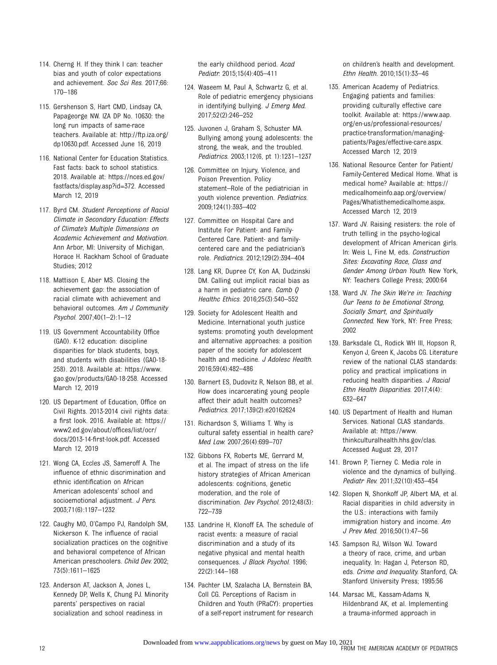- 114. Cherng H. If they think I can: teacher bias and youth of color expectations and achievement. Soc Sci Res. 2017;66: 170–186
- 115. Gershenson S, Hart CMD, Lindsay CA, Papageorge NW. IZA DP No. 10630: the long run impacts of same-race teachers. Available at: http://ftp.iza.org/ dp10630.pdf. Accessed June 16, 2019
- 116. National Center for Education Statistics. Fast facts: back to school statistics. 2018. Available at: [https://nces.ed.gov/](https://nces.ed.gov/fastfacts/display.asp?id=372) [fastfacts/display.asp?id=372](https://nces.ed.gov/fastfacts/display.asp?id=372). Accessed March 12, 2019
- 117. Byrd CM. Student Perceptions of Racial Climate in Secondary Education: Effects of Climate's Multiple Dimensions on Academic Achievement and Motivation. Ann Arbor, MI: University of Michigan, Horace H. Rackham School of Graduate Studies; 2012
- 118. Mattison E, Aber MS. Closing the achievement gap: the association of racial climate with achievement and behavioral outcomes. Am J Community Psychol. 2007;40(1–2):1–12
- 119. US Government Accountability Office (GAO). K-12 education: discipline disparities for black students, boys, and students with disabilities (GAO-18- 258). 2018. Available at: [https://www.](https://www.gao.gov/products/GAO-18-258) [gao.gov/products/GAO-18-258](https://www.gao.gov/products/GAO-18-258). Accessed March 12, 2019
- 120. US Department of Education, Office on Civil Rights. 2013-2014 civil rights data: a first look. 2016. Available at: [https://](https://www2.ed.gov/about/offices/list/ocr/docs/2013-14-first-look.pdf) [www2.ed.gov/about/of](https://www2.ed.gov/about/offices/list/ocr/docs/2013-14-first-look.pdf)fices/list/ocr/ [docs/2013-14-](https://www2.ed.gov/about/offices/list/ocr/docs/2013-14-first-look.pdf)first-look.pdf. Accessed March 12, 2019
- 121. Wong CA, Eccles JS, Sameroff A. The influence of ethnic discrimination and ethnic identification on African American adolescents' school and socioemotional adjustment. J Pers. 2003;71(6):1197–1232
- 122. Caughy MO, O'Campo PJ, Randolph SM, Nickerson K. The influence of racial socialization practices on the cognitive and behavioral competence of African American preschoolers. Child Dev. 2002; 73(5):1611–1625
- 123. Anderson AT, Jackson A, Jones L, Kennedy DP, Wells K, Chung PJ. Minority parents' perspectives on racial socialization and school readiness in

the early childhood period. Acad Pediatr. 2015;15(4):405–411

- 124. Waseem M, Paul A, Schwartz G, et al. Role of pediatric emergency physicians in identifying bullying. J Emerg Med. 2017;52(2):246–252
- 125. Juvonen J, Graham S, Schuster MA. Bullying among young adolescents: the strong, the weak, and the troubled. Pediatrics. 2003;112(6, pt 1):1231–1237
- 126. Committee on Injury, Violence, and Poison Prevention. Policy statement–Role of the pediatrician in youth violence prevention. Pediatrics. 2009;124(1):393–402
- 127. Committee on Hospital Care and Institute For Patient- and Family-Centered Care. Patient- and familycentered care and the pediatrician's role. Pediatrics. 2012;129(2):394–404
- 128. Lang KR, Dupree CY, Kon AA, Dudzinski DM. Calling out implicit racial bias as a harm in pediatric care. Camb Q Healthc Ethics. 2016;25(3):540–552
- 129. Society for Adolescent Health and Medicine. International youth justice systems: promoting youth development and alternative approaches: a position paper of the society for adolescent health and medicine. J Adolesc Health. 2016;59(4):482–486
- 130. Barnert ES, Dudovitz R, Nelson BB, et al. How does incarcerating young people affect their adult health outcomes? Pediatrics. 2017;139(2):e20162624
- 131. Richardson S, Williams T. Why is cultural safety essential in health care? Med Law. 2007;26(4):699–707
- 132. Gibbons FX, Roberts ME, Gerrard M, et al. The impact of stress on the life history strategies of African American adolescents: cognitions, genetic moderation, and the role of discrimination. Dev Psychol. 2012;48(3): 722–739
- 133. Landrine H, Klonoff EA. The schedule of racist events: a measure of racial discrimination and a study of its negative physical and mental health consequences. J Black Psychol. 1996; 22(2):144–168
- 134. Pachter LM, Szalacha LA, Bernstein BA, Coll CG. Perceptions of Racism in Children and Youth (PRaCY): properties of a self-report instrument for research

on children's health and development. Ethn Health. 2010;15(1):33–46

- 135. American Academy of Pediatrics. Engaging patients and families: providing culturally effective care toolkit. Available at: [https://www.aap.](https://www.aap.org/en-us/professional-resources/practice-transformation/managing-patients/Pages/effective-care.aspx) [org/en-us/professional-resources/](https://www.aap.org/en-us/professional-resources/practice-transformation/managing-patients/Pages/effective-care.aspx) [practice-transformation/managing](https://www.aap.org/en-us/professional-resources/practice-transformation/managing-patients/Pages/effective-care.aspx)[patients/Pages/effective-care.aspx](https://www.aap.org/en-us/professional-resources/practice-transformation/managing-patients/Pages/effective-care.aspx). Accessed March 12, 2019
- 136. National Resource Center for Patient/ Family-Centered Medical Home. What is medical home? Available at: [https://](https://medicalhomeinfo.aap.org/overview/Pages/Whatisthemedicalhome.aspx) [medicalhomeinfo.aap.org/overview/](https://medicalhomeinfo.aap.org/overview/Pages/Whatisthemedicalhome.aspx) [Pages/Whatisthemedicalhome.aspx.](https://medicalhomeinfo.aap.org/overview/Pages/Whatisthemedicalhome.aspx) Accessed March 12, 2019
- 137. Ward JV. Raising resisters: the role of truth telling in the psycho-logical development of African American girls. In: Weis L, Fine M, eds. Construction Sites: Excavating Race, Class and Gender Among Urban Youth. New York, NY: Teachers College Press; 2000:64
- 138. Ward JV. The Skin We're in: Teaching Our Teens to be Emotional Strong, Socially Smart, and Spiritually Connected. New York, NY: Free Press; 2002
- 139. Barksdale CL, Rodick WH III, Hopson R, Kenyon J, Green K, Jacobs CG. Literature review of the national CLAS standards: policy and practical implications in reducing health disparities. *J Racial* Ethn Health Disparities. 2017;4(4): 632–647
- 140. US Department of Health and Human Services. National CLAS standards. Available at: [https://www.](https://www.thinkculturalhealth.hhs.gov/clas) [thinkculturalhealth.hhs.gov/clas](https://www.thinkculturalhealth.hhs.gov/clas). Accessed August 29, 2017
- 141. Brown P, Tierney C. Media role in violence and the dynamics of bullying. Pediatr Rev. 2011;32(10):453–454
- 142. Slopen N, Shonkoff JP, Albert MA, et al. Racial disparities in child adversity in the U.S.: interactions with family immigration history and income. Am J Prev Med. 2016;50(1):47–56
- 143. Sampson RJ, Wilson WJ. Toward a theory of race, crime, and urban inequality. In: Hagan J, Peterson RD, eds. Crime and Inequality. Stanford, CA: Stanford University Press; 1995:56
- 144. Marsac ML, Kassam-Adams N, Hildenbrand AK, et al. Implementing a trauma-informed approach in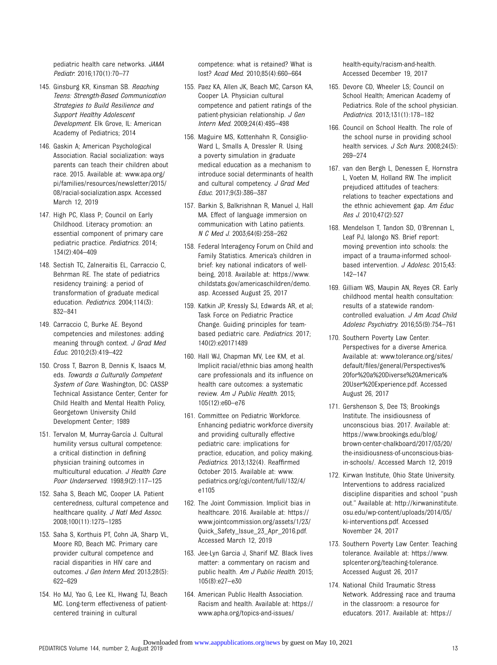pediatric health care networks. JAMA Pediatr. 2016;170(1):70–77

- 145. Ginsburg KR, Kinsman SB. Reaching Teens: Strength-Based Communication Strategies to Build Resilience and Support Healthy Adolescent Development. Elk Grove, IL: American Academy of Pediatrics; 2014
- 146. Gaskin A; American Psychological Association. Racial socialization: ways parents can teach their children about race. 2015. Available at: [www.apa.org/](http://www.apa.org/pi/families/resources/newsletter/2015/08/racial-socialization.aspx) [pi/families/resources/newsletter/2015/](http://www.apa.org/pi/families/resources/newsletter/2015/08/racial-socialization.aspx) [08/racial-socialization.aspx](http://www.apa.org/pi/families/resources/newsletter/2015/08/racial-socialization.aspx). Accessed March 12, 2019
- 147. High PC, Klass P; Council on Early Childhood. Literacy promotion: an essential component of primary care pediatric practice. Pediatrics. 2014; 134(2):404–409
- 148. Sectish TC, Zalneraitis EL, Carraccio C, Behrman RE. The state of pediatrics residency training: a period of transformation of graduate medical education. Pediatrics. 2004;114(3): 832–841
- 149. Carraccio C, Burke AE. Beyond competencies and milestones: adding meaning through context. J Grad Med Educ. 2010;2(3):419–422
- 150. Cross T, Bazron B, Dennis K, Isaacs M, eds. Towards a Culturally Competent System of Care. Washington, DC: CASSP Technical Assistance Center, Center for Child Health and Mental Health Policy, Georgetown University Child Development Center; 1989
- 151. Tervalon M, Murray-García J. Cultural humility versus cultural competence: a critical distinction in defining physician training outcomes in multicultural education. J Health Care Poor Underserved. 1998;9(2):117–125
- 152. Saha S, Beach MC, Cooper LA. Patient centeredness, cultural competence and healthcare quality. J Natl Med Assoc. 2008;100(11):1275–1285
- 153. Saha S, Korthuis PT, Cohn JA, Sharp VL, Moore RD, Beach MC. Primary care provider cultural competence and racial disparities in HIV care and outcomes. J Gen Intern Med. 2013;28(5): 622–629
- 154. Ho MJ, Yao G, Lee KL, Hwang TJ, Beach MC. Long-term effectiveness of patientcentered training in cultural

competence: what is retained? What is lost? Acad Med. 2010;85(4):660–664

- 155. Paez KA, Allen JK, Beach MC, Carson KA, Cooper LA. Physician cultural competence and patient ratings of the patient-physician relationship. J Gen Intern Med. 2009;24(4):495–498
- 156. Maguire MS, Kottenhahn R, Consiglio-Ward L, Smalls A, Dressler R. Using a poverty simulation in graduate medical education as a mechanism to introduce social determinants of health and cultural competency. J Grad Med Educ. 2017;9(3):386–387
- 157. Barkin S, Balkrishnan R, Manuel J, Hall MA. Effect of language immersion on communication with Latino patients. N C Med J. 2003;64(6):258–262
- 158. Federal Interagency Forum on Child and Family Statistics. America's children in brief: key national indicators of wellbeing, 2018. Available at: [https://www.](https://www.childstats.gov/americaschildren/demo.asp) [childstats.gov/americaschildren/demo.](https://www.childstats.gov/americaschildren/demo.asp) [asp](https://www.childstats.gov/americaschildren/demo.asp). Accessed August 25, 2017
- 159. Katkin JP, Kressly SJ, Edwards AR, et al; Task Force on Pediatric Practice Change. Guiding principles for teambased pediatric care. Pediatrics. 2017; 140(2):e20171489
- 160. Hall WJ, Chapman MV, Lee KM, et al. Implicit racial/ethnic bias among health care professionals and its influence on health care outcomes: a systematic review. Am J Public Health. 2015; 105(12):e60–e76
- 161. Committee on Pediatric Workforce. Enhancing pediatric workforce diversity and providing culturally effective pediatric care: implications for practice, education, and policy making. Pediatrics. 2013;132(4). Reaffirmed October 2015. Available at: [www.](http://www.pediatrics.org/cgi/content/full/132/4/e1105) [pediatrics.org/cgi/content/full/132/4/](http://www.pediatrics.org/cgi/content/full/132/4/e1105) [e1105](http://www.pediatrics.org/cgi/content/full/132/4/e1105)
- 162. The Joint Commission. Implicit bias in healthcare. 2016. Available at: [https://](https://www.jointcommission.org/assets/1/23/Quick_Safety_Issue_23_Apr_2016.pdf) [www.jointcommission.org/assets/1/23/](https://www.jointcommission.org/assets/1/23/Quick_Safety_Issue_23_Apr_2016.pdf) [Quick\\_Safety\\_Issue\\_23\\_Apr\\_2016.pdf](https://www.jointcommission.org/assets/1/23/Quick_Safety_Issue_23_Apr_2016.pdf). Accessed March 12, 2019
- 163. Jee-Lyn Garcia J, Sharif MZ. Black lives matter: a commentary on racism and public health. Am J Public Health. 2015; 105(8):e27–e30
- 164. American Public Health Association. Racism and health. Available at: [https://](https://www.apha.org/topics-and-issues/health-equity/racism-and-health) [www.apha.org/topics-and-issues/](https://www.apha.org/topics-and-issues/health-equity/racism-and-health)

[health-equity/racism-and-health.](https://www.apha.org/topics-and-issues/health-equity/racism-and-health) Accessed December 19, 2017

- 165. Devore CD, Wheeler LS; Council on School Health; American Academy of Pediatrics. Role of the school physician. Pediatrics. 2013;131(1):178–182
- 166. Council on School Health. The role of the school nurse in providing school health services. J Sch Nurs. 2008;24(5): 269–274
- 167. van den Bergh L, Denessen E, Hornstra L, Voeten M, Holland RW. The implicit prejudiced attitudes of teachers: relations to teacher expectations and the ethnic achievement gap. Am Educ Res J. 2010;47(2):527
- 168. Mendelson T, Tandon SD, O'Brennan L, Leaf PJ, Ialongo NS. Brief report: moving prevention into schools: the impact of a trauma-informed schoolbased intervention. J Adolesc. 2015;43: 142–147
- 169. Gilliam WS, Maupin AN, Reyes CR. Early childhood mental health consultation: results of a statewide randomcontrolled evaluation. J Am Acad Child Adolesc Psychiatry. 2016;55(9):754–761
- 170. Southern Poverty Law Center. Perspectives for a diverse America. Available at: [www.tolerance.org/sites/](http://www.tolerance.org/sites/default/files/general/Perspectives%20for%20a%20Diverse%20America%20User%20Experience.pdf) default/fi[les/general/Perspectives%](http://www.tolerance.org/sites/default/files/general/Perspectives%20for%20a%20Diverse%20America%20User%20Experience.pdf) [20for%20a%20Diverse%20America%](http://www.tolerance.org/sites/default/files/general/Perspectives%20for%20a%20Diverse%20America%20User%20Experience.pdf) [20User%20Experience.pdf.](http://www.tolerance.org/sites/default/files/general/Perspectives%20for%20a%20Diverse%20America%20User%20Experience.pdf) Accessed August 26, 2017
- 171. Gershenson S, Dee TS; Brookings Institute. The insidiousness of unconscious bias. 2017. Available at: [https://www.brookings.edu/blog/](https://www.brookings.edu/blog/brown-center-chalkboard/2017/03/20/the-insidiousness-of-unconscious-bias-in-schools/) [brown-center-chalkboard/2017/03/20/](https://www.brookings.edu/blog/brown-center-chalkboard/2017/03/20/the-insidiousness-of-unconscious-bias-in-schools/) [the-insidiousness-of-unconscious-bias](https://www.brookings.edu/blog/brown-center-chalkboard/2017/03/20/the-insidiousness-of-unconscious-bias-in-schools/)[in-schools/.](https://www.brookings.edu/blog/brown-center-chalkboard/2017/03/20/the-insidiousness-of-unconscious-bias-in-schools/) Accessed March 12, 2019
- 172. Kirwan Institute, Ohio State University. Interventions to address racialized discipline disparities and school "push out." Available at: [http://kirwaninstitute.](http://kirwaninstitute.osu.edu/wp-content/uploads/2014/05/ki-interventions.pdf) [osu.edu/wp-content/uploads/2014/05/](http://kirwaninstitute.osu.edu/wp-content/uploads/2014/05/ki-interventions.pdf) [ki-interventions.pdf.](http://kirwaninstitute.osu.edu/wp-content/uploads/2014/05/ki-interventions.pdf) Accessed November 24, 2017
- 173. Southern Poverty Law Center. Teaching tolerance. Available at: [https://www.](https://www.splcenter.org/teaching-tolerance) [splcenter.org/teaching-tolerance](https://www.splcenter.org/teaching-tolerance). Accessed August 26, 2017
- 174. National Child Traumatic Stress Network. Addressing race and trauma in the classroom: a resource for educators. 2017. Available at: [https://](https://www.nctsn.org/resources/addressing-race-and-trauma-classroom-resource-educators)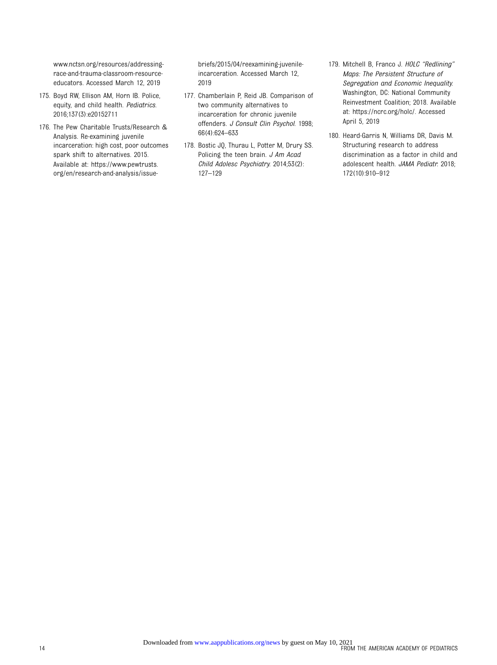[www.nctsn.org/resources/addressing](https://www.nctsn.org/resources/addressing-race-and-trauma-classroom-resource-educators)[race-and-trauma-classroom-resource](https://www.nctsn.org/resources/addressing-race-and-trauma-classroom-resource-educators)[educators](https://www.nctsn.org/resources/addressing-race-and-trauma-classroom-resource-educators). Accessed March 12, 2019

- 175. Boyd RW, Ellison AM, Horn IB. Police, equity, and child health. Pediatrics. 2016;137(3):e20152711
- 176. The Pew Charitable Trusts/Research & Analysis. Re-examining juvenile incarceration: high cost, poor outcomes spark shift to alternatives. 2015. Available at: [https://www.pewtrusts.](https://www.pewtrusts.org/en/research-and-analysis/issue-briefs/2015/04/reexamining-juvenile-incarceration) [org/en/research-and-analysis/issue-](https://www.pewtrusts.org/en/research-and-analysis/issue-briefs/2015/04/reexamining-juvenile-incarceration)

[briefs/2015/04/reexamining-juvenile](https://www.pewtrusts.org/en/research-and-analysis/issue-briefs/2015/04/reexamining-juvenile-incarceration)[incarceration.](https://www.pewtrusts.org/en/research-and-analysis/issue-briefs/2015/04/reexamining-juvenile-incarceration) Accessed March 12, 2019

- 177. Chamberlain P, Reid JB. Comparison of two community alternatives to incarceration for chronic juvenile offenders. J Consult Clin Psychol. 1998; 66(4):624–633
- 178. Bostic JQ, Thurau L, Potter M, Drury SS. Policing the teen brain. J Am Acad Child Adolesc Psychiatry. 2014;53(2): 127–129
- 179. Mitchell B, Franco J. HOLC "Redlining" Maps: The Persistent Structure of Segregation and Economic Inequality. Washington, DC: National Community Reinvestment Coalition; 2018. Available at:<https://ncrc.org/holc/>. Accessed April 5, 2019
- 180. Heard-Garris N, Williams DR, Davis M. Structuring research to address discrimination as a factor in child and adolescent health. JAMA Pediatr. 2018; 172(10):910–912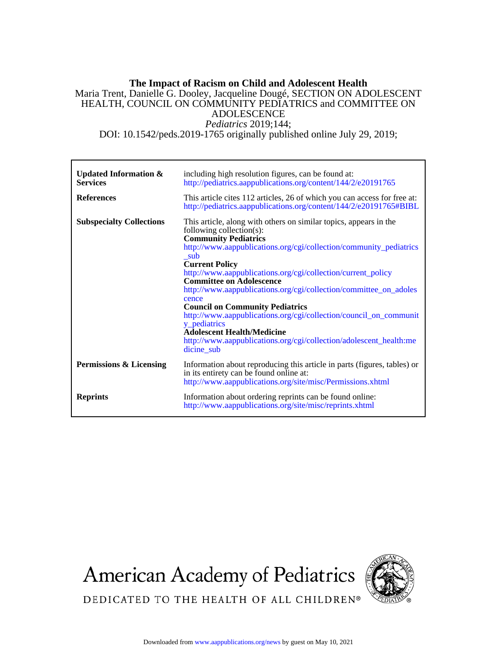# *Pediatrics* 2019;144; ADOLESCENCE HEALTH, COUNCIL ON COMMUNITY PEDIATRICS and COMMITTEE ON Maria Trent, Danielle G. Dooley, Jacqueline Dougé, SECTION ON ADOLESCENT **The Impact of Racism on Child and Adolescent Health**

DOI: 10.1542/peds.2019-1765 originally published online July 29, 2019;

| <b>Updated Information &amp;</b><br><b>Services</b> | including high resolution figures, can be found at:<br>http://pediatrics.aappublications.org/content/144/2/e20191765                                                                                                                                                                                                                                                                                                                                                                                                                                                                                                                                                        |
|-----------------------------------------------------|-----------------------------------------------------------------------------------------------------------------------------------------------------------------------------------------------------------------------------------------------------------------------------------------------------------------------------------------------------------------------------------------------------------------------------------------------------------------------------------------------------------------------------------------------------------------------------------------------------------------------------------------------------------------------------|
| <b>References</b>                                   | This article cites 112 articles, 26 of which you can access for free at:<br>http://pediatrics.aappublications.org/content/144/2/e20191765#BIBL                                                                                                                                                                                                                                                                                                                                                                                                                                                                                                                              |
| <b>Subspecialty Collections</b>                     | This article, along with others on similar topics, appears in the<br>following collection(s):<br><b>Community Pediatrics</b><br>http://www.aappublications.org/cgi/collection/community_pediatrics<br>sub<br><b>Current Policy</b><br>http://www.aappublications.org/cgi/collection/current_policy<br><b>Committee on Adolescence</b><br>http://www.aappublications.org/cgi/collection/committee_on_adoles<br>cence<br><b>Council on Community Pediatrics</b><br>http://www.aappublications.org/cgi/collection/council_on_communit<br>y_pediatrics<br><b>Adolescent Health/Medicine</b><br>http://www.aappublications.org/cgi/collection/adolescent_health:me<br>dicine sub |
| <b>Permissions &amp; Licensing</b>                  | Information about reproducing this article in parts (figures, tables) or<br>in its entirety can be found online at:<br>http://www.aappublications.org/site/misc/Permissions.xhtml                                                                                                                                                                                                                                                                                                                                                                                                                                                                                           |
| <b>Reprints</b>                                     | Information about ordering reprints can be found online:<br>http://www.aappublications.org/site/misc/reprints.xhtml                                                                                                                                                                                                                                                                                                                                                                                                                                                                                                                                                         |

**American Academy of Pediatrics** 



DEDICATED TO THE HEALTH OF ALL CHILDREN®